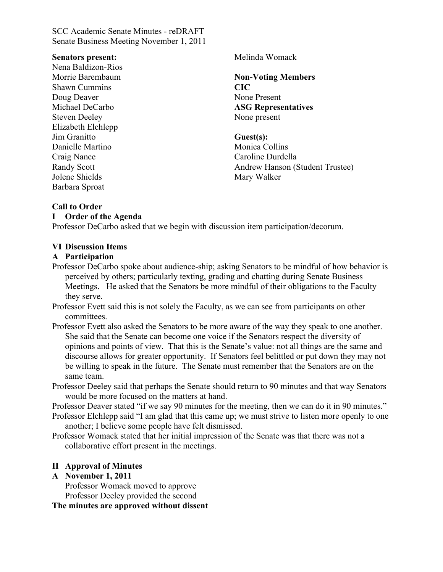#### **Senators present:**

Nena Baldizon-Rios Morrie Barembaum Shawn Cummins Doug Deaver Michael DeCarbo Steven Deeley Elizabeth Elchlepp Jim Granitto Danielle Martino Craig Nance Randy Scott Jolene Shields Barbara Sproat

Melinda Womack

**Non-Voting Members CIC** None Present **ASG Representatives** None present

### **Guest(s):**

Monica Collins Caroline Durdella Andrew Hanson (Student Trustee) Mary Walker

## **Call to Order**

### **I Order of the Agenda**

Professor DeCarbo asked that we begin with discussion item participation/decorum.

## **VI Discussion Items**

### **A Participation**

- Professor DeCarbo spoke about audience-ship; asking Senators to be mindful of how behavior is perceived by others; particularly texting, grading and chatting during Senate Business Meetings. He asked that the Senators be more mindful of their obligations to the Faculty they serve.
- Professor Evett said this is not solely the Faculty, as we can see from participants on other committees.
- Professor Evett also asked the Senators to be more aware of the way they speak to one another. She said that the Senate can become one voice if the Senators respect the diversity of opinions and points of view. That this is the Senate's value: not all things are the same and discourse allows for greater opportunity. If Senators feel belittled or put down they may not be willing to speak in the future. The Senate must remember that the Senators are on the same team.
- Professor Deeley said that perhaps the Senate should return to 90 minutes and that way Senators would be more focused on the matters at hand.

Professor Deaver stated "if we say 90 minutes for the meeting, then we can do it in 90 minutes."

Professor Elchlepp said "I am glad that this came up; we must strive to listen more openly to one another; I believe some people have felt dismissed.

Professor Womack stated that her initial impression of the Senate was that there was not a collaborative effort present in the meetings.

## **II Approval of Minutes**

## **A November 1, 2011**

Professor Womack moved to approve Professor Deeley provided the second

**The minutes are approved without dissent**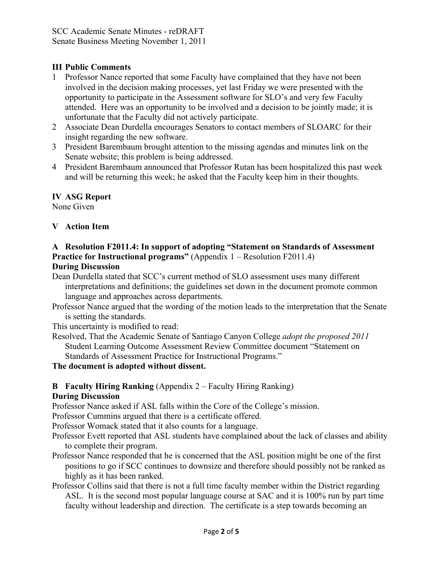# **III Public Comments**

- 1 Professor Nance reported that some Faculty have complained that they have not been involved in the decision making processes, yet last Friday we were presented with the opportunity to participate in the Assessment software for SLO's and very few Faculty attended. Here was an opportunity to be involved and a decision to be jointly made; it is unfortunate that the Faculty did not actively participate.
- 2 Associate Dean Durdella encourages Senators to contact members of SLOARC for their insight regarding the new software.
- 3 President Barembaum brought attention to the missing agendas and minutes link on the Senate website; this problem is being addressed.
- 4 President Barembaum announced that Professor Rutan has been hospitalized this past week and will be returning this week; he asked that the Faculty keep him in their thoughts.

## **IV ASG Report**

None Given

# **V Action Item**

### **A Resolution F2011.4: In support of adopting "Statement on Standards of Assessment Practice for Instructional programs"** (Appendix 1 – Resolution F2011.4) **During Discussion**

Dean Durdella stated that SCC's current method of SLO assessment uses many different interpretations and definitions; the guidelines set down in the document promote common language and approaches across departments.

Professor Nance argued that the wording of the motion leads to the interpretation that the Senate is setting the standards.

This uncertainty is modified to read:

Resolved, That the Academic Senate of Santiago Canyon College *adopt the proposed 2011* Student Learning Outcome Assessment Review Committee document "Statement on Standards of Assessment Practice for Instructional Programs."

**The document is adopted without dissent.**

# **B Faculty Hiring Ranking** (Appendix 2 – Faculty Hiring Ranking)

## **During Discussion**

Professor Nance asked if ASL falls within the Core of the College's mission.

Professor Cummins argued that there is a certificate offered.

Professor Womack stated that it also counts for a language.

- Professor Evett reported that ASL students have complained about the lack of classes and ability to complete their program.
- Professor Nance responded that he is concerned that the ASL position might be one of the first positions to go if SCC continues to downsize and therefore should possibly not be ranked as highly as it has been ranked.
- Professor Collins said that there is not a full time faculty member within the District regarding ASL. It is the second most popular language course at SAC and it is 100% run by part time faculty without leadership and direction. The certificate is a step towards becoming an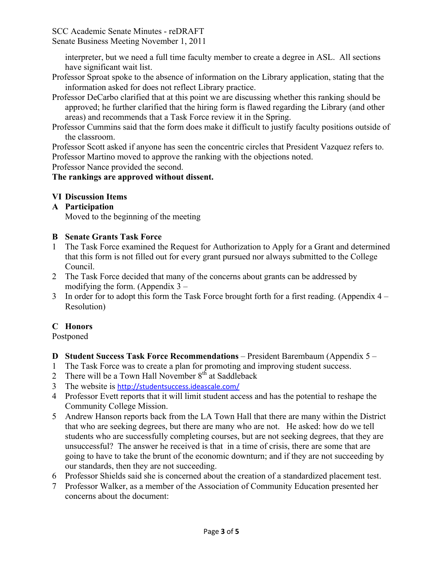interpreter, but we need a full time faculty member to create a degree in ASL. All sections have significant wait list.

- Professor Sproat spoke to the absence of information on the Library application, stating that the information asked for does not reflect Library practice.
- Professor DeCarbo clarified that at this point we are discussing whether this ranking should be approved; he further clarified that the hiring form is flawed regarding the Library (and other areas) and recommends that a Task Force review it in the Spring.
- Professor Cummins said that the form does make it difficult to justify faculty positions outside of the classroom.

Professor Scott asked if anyone has seen the concentric circles that President Vazquez refers to. Professor Martino moved to approve the ranking with the objections noted.

Professor Nance provided the second.

# **The rankings are approved without dissent.**

# **VI Discussion Items**

**A Participation**

Moved to the beginning of the meeting

# **B Senate Grants Task Force**

- 1 The Task Force examined the Request for Authorization to Apply for a Grant and determined that this form is not filled out for every grant pursued nor always submitted to the College Council.
- 2 The Task Force decided that many of the concerns about grants can be addressed by modifying the form. (Appendix 3 –
- 3 In order for to adopt this form the Task Force brought forth for a first reading. (Appendix 4 Resolution)

# **C Honors**

Postponed

- **D Student Success Task Force Recommendations** President Barembaum (Appendix 5 –
- 1 The Task Force was to create a plan for promoting and improving student success.
- 2 There will be a Town Hall November  $8<sup>th</sup>$  at Saddleback
- 3 The website is http://studentsuccess.ideascale.com/
- 4 Professor Evett reports that it will limit student access and has the potential to reshape the Community College Mission.
- 5 Andrew Hanson reports back from the LA Town Hall that there are many within the District that who are seeking degrees, but there are many who are not. He asked: how do we tell students who are successfully completing courses, but are not seeking degrees, that they are unsuccessful? The answer he received is that in a time of crisis, there are some that are going to have to take the brunt of the economic downturn; and if they are not succeeding by our standards, then they are not succeeding.
- 6 Professor Shields said she is concerned about the creation of a standardized placement test.
- 7 Professor Walker, as a member of the Association of Community Education presented her concerns about the document: